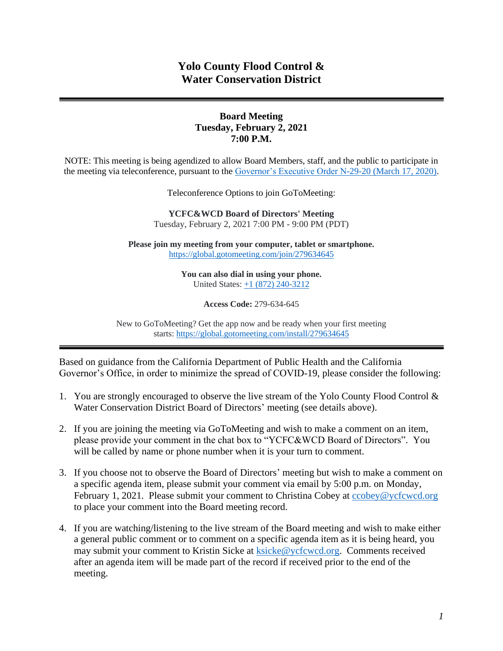# **Yolo County Flood Control & Water Conservation District**

### **Board Meeting Tuesday, February 2, 2021 7:00 P.M.**

NOTE: This meeting is being agendized to allow Board Members, staff, and the public to participate in the meeting via teleconference, pursuant to the [Governor's Executive Order N-29-20 \(March 17, 2020\).](https://www.gov.ca.gov/wp-content/uploads/2020/03/3.17.20-N-29-20-EO.pdf)

Teleconference Options to join GoToMeeting:

**YCFC&WCD Board of Directors' Meeting**  Tuesday, February 2, 2021 7:00 PM - 9:00 PM (PDT)

**Please join my meeting from your computer, tablet or smartphone.** <https://global.gotomeeting.com/join/279634645>

> **You can also dial in using your phone.** United States: [+1 \(872\) 240-3212](tel:+18722403212,,279634645)

> > **Access Code:** 279-634-645

New to GoToMeeting? Get the app now and be ready when your first meeting starts: <https://global.gotomeeting.com/install/279634645>

Based on guidance from the California Department of Public Health and the California Governor's Office, in order to minimize the spread of COVID-19, please consider the following:

- 1. You are strongly encouraged to observe the live stream of the Yolo County Flood Control & Water Conservation District Board of Directors' meeting (see details above).
- 2. If you are joining the meeting via GoToMeeting and wish to make a comment on an item, please provide your comment in the chat box to "YCFC&WCD Board of Directors". You will be called by name or phone number when it is your turn to comment.
- 3. If you choose not to observe the Board of Directors' meeting but wish to make a comment on a specific agenda item, please submit your comment via email by 5:00 p.m. on Monday, February 1, 2021. Please submit your comment to Christina Cobey at [ccobey@ycfcwcd.org](mailto:ccobey@ycfcwcd.org) to place your comment into the Board meeting record.
- 4. If you are watching/listening to the live stream of the Board meeting and wish to make either a general public comment or to comment on a specific agenda item as it is being heard, you may submit your comment to Kristin Sicke at [ksicke@ycfcwcd.org.](file://///Yolo-DC01/Shared/ADMINISTRATION/Board%20of%20Directors/Package/2020/BOD%20Pkg%204-7-2020/ksicke@ycfcwcd.org) Comments received after an agenda item will be made part of the record if received prior to the end of the meeting.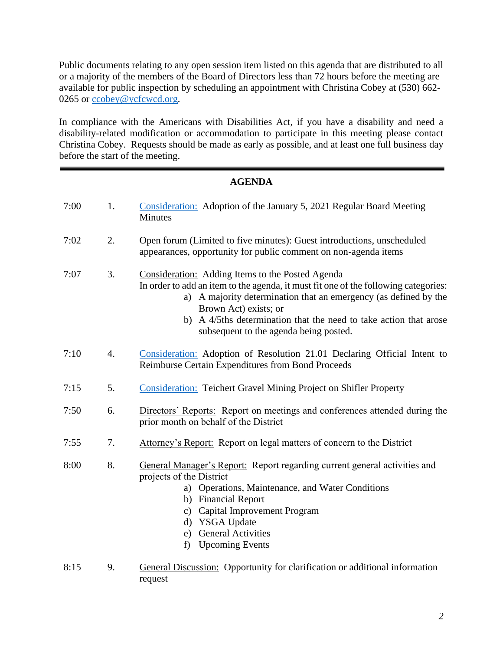Public documents relating to any open session item listed on this agenda that are distributed to all or a majority of the members of the Board of Directors less than 72 hours before the meeting are available for public inspection by scheduling an appointment with Christina Cobey at (530) 662- 0265 or [ccobey@ycfcwcd.org](mailto:ccobey@ycfcwcd.org)*.* 

In compliance with the Americans with Disabilities Act, if you have a disability and need a disability-related modification or accommodation to participate in this meeting please contact Christina Cobey. Requests should be made as early as possible, and at least one full business day before the start of the meeting.

## **AGENDA**

| 7:00 | 1. | Consideration: Adoption of the January 5, 2021 Regular Board Meeting<br><b>Minutes</b>                                                                                                                                                                                                                                                                 |  |
|------|----|--------------------------------------------------------------------------------------------------------------------------------------------------------------------------------------------------------------------------------------------------------------------------------------------------------------------------------------------------------|--|
| 7:02 | 2. | Open forum (Limited to five minutes): Guest introductions, unscheduled<br>appearances, opportunity for public comment on non-agenda items                                                                                                                                                                                                              |  |
| 7:07 | 3. | Consideration: Adding Items to the Posted Agenda<br>In order to add an item to the agenda, it must fit one of the following categories:<br>a) A majority determination that an emergency (as defined by the<br>Brown Act) exists; or<br>A 4/5ths determination that the need to take action that arose<br>b)<br>subsequent to the agenda being posted. |  |
| 7:10 | 4. | Consideration: Adoption of Resolution 21.01 Declaring Official Intent to<br>Reimburse Certain Expenditures from Bond Proceeds                                                                                                                                                                                                                          |  |
| 7:15 | 5. | <b>Consideration: Teichert Gravel Mining Project on Shifler Property</b>                                                                                                                                                                                                                                                                               |  |
| 7:50 | 6. | Directors' Reports: Report on meetings and conferences attended during the<br>prior month on behalf of the District                                                                                                                                                                                                                                    |  |
| 7:55 | 7. | Attorney's Report: Report on legal matters of concern to the District                                                                                                                                                                                                                                                                                  |  |
| 8:00 | 8. | General Manager's Report: Report regarding current general activities and<br>projects of the District<br>a) Operations, Maintenance, and Water Conditions<br>b) Financial Report<br>Capital Improvement Program<br>$\mathbf{c})$<br>d) YSGA Update<br><b>General Activities</b><br>e)<br><b>Upcoming Events</b><br>f)                                  |  |
| 8:15 | 9. | General Discussion: Opportunity for clarification or additional information                                                                                                                                                                                                                                                                            |  |

request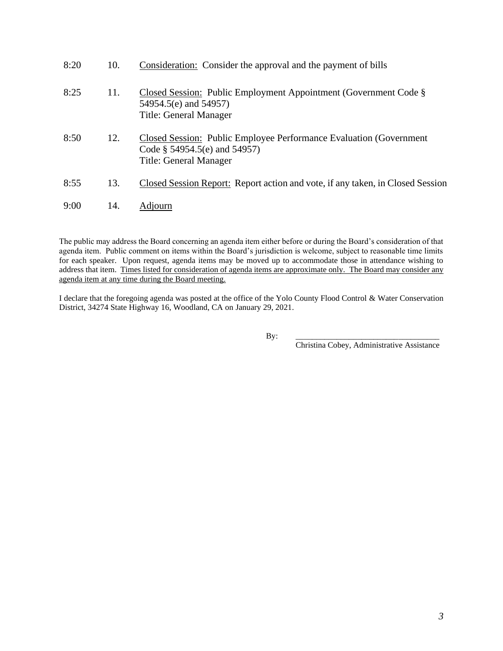| 8:20 | 10. | Consideration: Consider the approval and the payment of bills                                                                           |
|------|-----|-----------------------------------------------------------------------------------------------------------------------------------------|
| 8:25 | 11. | Closed Session: Public Employment Appointment (Government Code §<br>54954.5(e) and 54957)<br>Title: General Manager                     |
| 8:50 | 12. | Closed Session: Public Employee Performance Evaluation (Government)<br>Code $\S$ 54954.5(e) and 54957)<br><b>Title: General Manager</b> |
| 8:55 | 13. | Closed Session Report: Report action and vote, if any taken, in Closed Session                                                          |
| 9:00 | 14. | Adjourn                                                                                                                                 |

The public may address the Board concerning an agenda item either before or during the Board's consideration of that agenda item. Public comment on items within the Board's jurisdiction is welcome, subject to reasonable time limits for each speaker. Upon request, agenda items may be moved up to accommodate those in attendance wishing to address that item. Times listed for consideration of agenda items are approximate only. The Board may consider any agenda item at any time during the Board meeting.

I declare that the foregoing agenda was posted at the office of the Yolo County Flood Control & Water Conservation District, 34274 State Highway 16, Woodland, CA on January 29, 2021.

By: \_\_\_\_\_\_\_\_\_\_\_\_\_\_\_\_\_\_\_\_\_\_\_\_\_\_\_\_\_\_\_\_\_\_\_

Christina Cobey, Administrative Assistance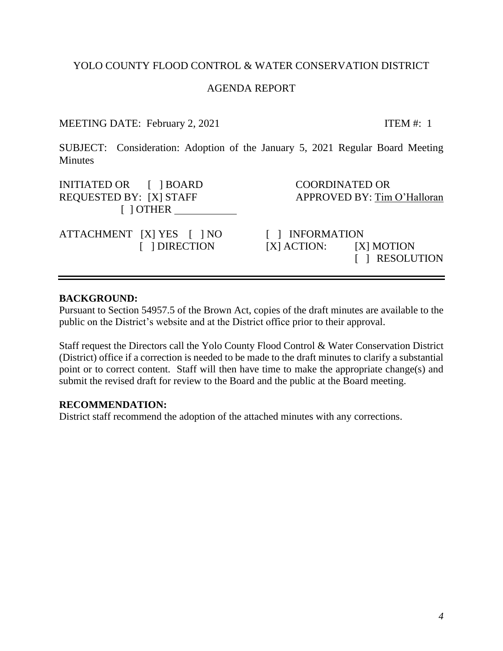## YOLO COUNTY FLOOD CONTROL & WATER CONSERVATION DISTRICT

## AGENDA REPORT

## MEETING DATE: February 2, 2021 ITEM #: 1

<span id="page-3-0"></span>SUBJECT: Consideration: Adoption of the January 5, 2021 Regular Board Meeting **Minutes** 

INITIATED OR  $\begin{array}{ccc} \text{I} & \text{IBOARD} \\ \text{I} & \text{I} & \text{BOARD} \end{array}$ REQUESTED BY: [X] STAFF APPROVED BY: Tim O'Halloran [ ] OTHER

ATTACHMENT [X] YES [ ] NO [ ] INFORMATION

 [ ] DIRECTION [X] ACTION: [X] MOTION [ ] RESOLUTION

#### **BACKGROUND:**

Pursuant to Section 54957.5 of the Brown Act, copies of the draft minutes are available to the public on the District's website and at the District office prior to their approval.

Staff request the Directors call the Yolo County Flood Control & Water Conservation District (District) office if a correction is needed to be made to the draft minutes to clarify a substantial point or to correct content. Staff will then have time to make the appropriate change(s) and submit the revised draft for review to the Board and the public at the Board meeting.

#### **RECOMMENDATION:**

District staff recommend the adoption of the attached minutes with any corrections.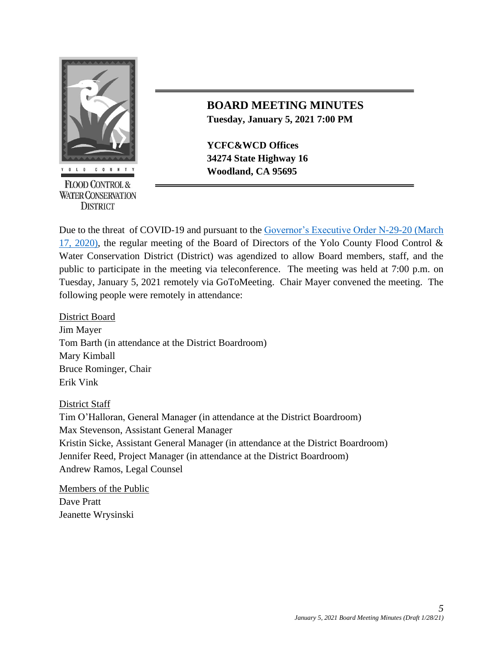

**FLOOD CONTROL & WATER CONSERVATION DISTRICT** 

# **BOARD MEETING MINUTES Tuesday, January 5, 2021 7:00 PM**

**YCFC&WCD Offices 34274 State Highway 16 EXECUTE:** Woodland, CA 95695

Due to the threat of COVID-19 and pursuant to the [Governor's Executive Order N-29-20 \(March](https://www.gov.ca.gov/wp-content/uploads/2020/03/3.17.20-N-29-20-EO.pdf)  [17, 2020\),](https://www.gov.ca.gov/wp-content/uploads/2020/03/3.17.20-N-29-20-EO.pdf) the regular meeting of the Board of Directors of the Yolo County Flood Control & Water Conservation District (District) was agendized to allow Board members, staff, and the public to participate in the meeting via teleconference. The meeting was held at 7:00 p.m. on Tuesday, January 5, 2021 remotely via GoToMeeting. Chair Mayer convened the meeting. The following people were remotely in attendance:

District Board Jim Mayer Tom Barth (in attendance at the District Boardroom) Mary Kimball Bruce Rominger, Chair Erik Vink

## District Staff

Tim O'Halloran, General Manager (in attendance at the District Boardroom) Max Stevenson, Assistant General Manager Kristin Sicke, Assistant General Manager (in attendance at the District Boardroom) Jennifer Reed, Project Manager (in attendance at the District Boardroom) Andrew Ramos, Legal Counsel

Members of the Public Dave Pratt Jeanette Wrysinski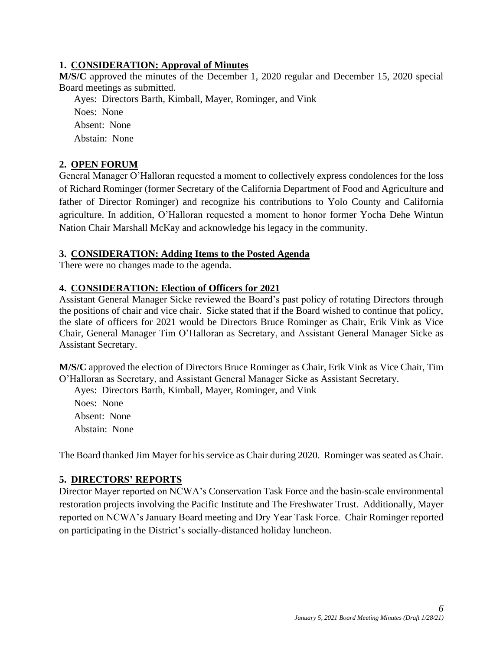## **1. CONSIDERATION: Approval of Minutes**

**M/S/C** approved the minutes of the December 1, 2020 regular and December 15, 2020 special Board meetings as submitted.

Ayes: Directors Barth, Kimball, Mayer, Rominger, and Vink Noes: None Absent: None Abstain: None

# **2. OPEN FORUM**

General Manager O'Halloran requested a moment to collectively express condolences for the loss of Richard Rominger (former Secretary of the California Department of Food and Agriculture and father of Director Rominger) and recognize his contributions to Yolo County and California agriculture. In addition, O'Halloran requested a moment to honor former Yocha Dehe Wintun Nation Chair Marshall McKay and acknowledge his legacy in the community.

## **3. CONSIDERATION: Adding Items to the Posted Agenda**

There were no changes made to the agenda.

## **4. CONSIDERATION: Election of Officers for 2021**

Assistant General Manager Sicke reviewed the Board's past policy of rotating Directors through the positions of chair and vice chair. Sicke stated that if the Board wished to continue that policy, the slate of officers for 2021 would be Directors Bruce Rominger as Chair, Erik Vink as Vice Chair, General Manager Tim O'Halloran as Secretary, and Assistant General Manager Sicke as Assistant Secretary.

**M/S/C** approved the election of Directors Bruce Rominger as Chair, Erik Vink as Vice Chair, Tim O'Halloran as Secretary, and Assistant General Manager Sicke as Assistant Secretary.

Ayes: Directors Barth, Kimball, Mayer, Rominger, and Vink

Noes: None Absent: None Abstain: None

The Board thanked Jim Mayer for his service as Chair during 2020. Rominger was seated as Chair.

# **5. DIRECTORS' REPORTS**

Director Mayer reported on NCWA's Conservation Task Force and the basin-scale environmental restoration projects involving the Pacific Institute and The Freshwater Trust. Additionally, Mayer reported on NCWA's January Board meeting and Dry Year Task Force. Chair Rominger reported on participating in the District's socially-distanced holiday luncheon.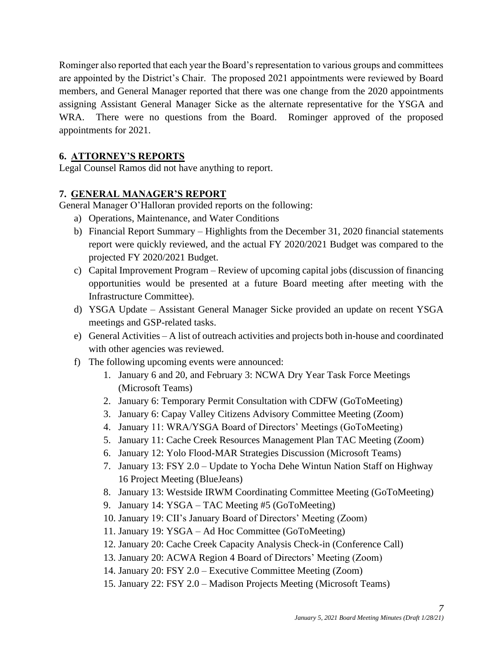Rominger also reported that each year the Board's representation to various groups and committees are appointed by the District's Chair. The proposed 2021 appointments were reviewed by Board members, and General Manager reported that there was one change from the 2020 appointments assigning Assistant General Manager Sicke as the alternate representative for the YSGA and WRA. There were no questions from the Board. Rominger approved of the proposed appointments for 2021.

## **6. ATTORNEY'S REPORTS**

Legal Counsel Ramos did not have anything to report.

## **7. GENERAL MANAGER'S REPORT**

General Manager O'Halloran provided reports on the following:

- a) Operations, Maintenance, and Water Conditions
- b) Financial Report Summary Highlights from the December 31, 2020 financial statements report were quickly reviewed, and the actual FY 2020/2021 Budget was compared to the projected FY 2020/2021 Budget.
- c) Capital Improvement Program Review of upcoming capital jobs (discussion of financing opportunities would be presented at a future Board meeting after meeting with the Infrastructure Committee).
- d) YSGA Update Assistant General Manager Sicke provided an update on recent YSGA meetings and GSP-related tasks.
- e) General Activities A list of outreach activities and projects both in-house and coordinated with other agencies was reviewed.
- f) The following upcoming events were announced:
	- 1. January 6 and 20, and February 3: NCWA Dry Year Task Force Meetings (Microsoft Teams)
	- 2. January 6: Temporary Permit Consultation with CDFW (GoToMeeting)
	- 3. January 6: Capay Valley Citizens Advisory Committee Meeting (Zoom)
	- 4. January 11: WRA/YSGA Board of Directors' Meetings (GoToMeeting)
	- 5. January 11: Cache Creek Resources Management Plan TAC Meeting (Zoom)
	- 6. January 12: Yolo Flood-MAR Strategies Discussion (Microsoft Teams)
	- 7. January 13: FSY 2.0 Update to Yocha Dehe Wintun Nation Staff on Highway 16 Project Meeting (BlueJeans)
	- 8. January 13: Westside IRWM Coordinating Committee Meeting (GoToMeeting)
	- 9. January 14: YSGA TAC Meeting #5 (GoToMeeting)
	- 10. January 19: CII's January Board of Directors' Meeting (Zoom)
	- 11. January 19: YSGA Ad Hoc Committee (GoToMeeting)
	- 12. January 20: Cache Creek Capacity Analysis Check-in (Conference Call)
	- 13. January 20: ACWA Region 4 Board of Directors' Meeting (Zoom)
	- 14. January 20: FSY 2.0 Executive Committee Meeting (Zoom)
	- 15. January 22: FSY 2.0 Madison Projects Meeting (Microsoft Teams)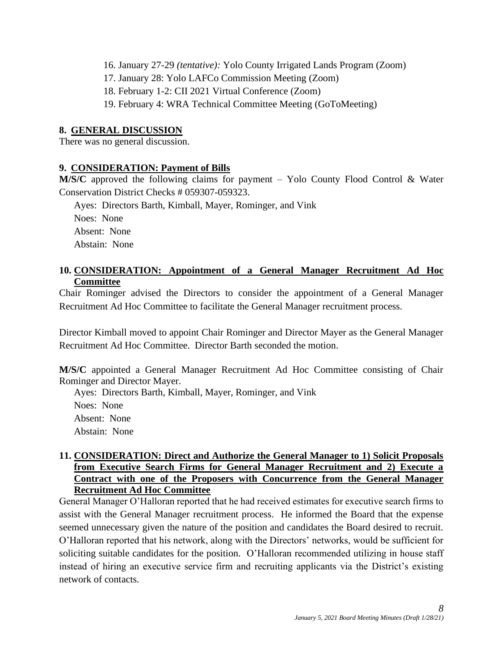- 16. January 27-29 *(tentative):* Yolo County Irrigated Lands Program (Zoom)
- 17. January 28: Yolo LAFCo Commission Meeting (Zoom)
- 18. February 1-2: CII 2021 Virtual Conference (Zoom)
- 19. February 4: WRA Technical Committee Meeting (GoToMeeting)

#### **8. GENERAL DISCUSSION**

There was no general discussion.

#### **9. CONSIDERATION: Payment of Bills**

**M/S/C** approved the following claims for payment – Yolo County Flood Control & Water Conservation District Checks # 059307-059323.

Ayes: Directors Barth, Kimball, Mayer, Rominger, and Vink Noes: None Absent: None Abstain: None

#### **10. CONSIDERATION: Appointment of a General Manager Recruitment Ad Hoc Committee**

Chair Rominger advised the Directors to consider the appointment of a General Manager Recruitment Ad Hoc Committee to facilitate the General Manager recruitment process.

Director Kimball moved to appoint Chair Rominger and Director Mayer as the General Manager Recruitment Ad Hoc Committee. Director Barth seconded the motion.

**M/S/C** appointed a General Manager Recruitment Ad Hoc Committee consisting of Chair Rominger and Director Mayer.

Ayes: Directors Barth, Kimball, Mayer, Rominger, and Vink Noes: None Absent: None Abstain: None

## **11. CONSIDERATION: Direct and Authorize the General Manager to 1) Solicit Proposals from Executive Search Firms for General Manager Recruitment and 2) Execute a Contract with one of the Proposers with Concurrence from the General Manager Recruitment Ad Hoc Committee**

General Manager O'Halloran reported that he had received estimates for executive search firms to assist with the General Manager recruitment process. He informed the Board that the expense seemed unnecessary given the nature of the position and candidates the Board desired to recruit. O'Halloran reported that his network, along with the Directors' networks, would be sufficient for soliciting suitable candidates for the position. O'Halloran recommended utilizing in house staff instead of hiring an executive service firm and recruiting applicants via the District's existing network of contacts.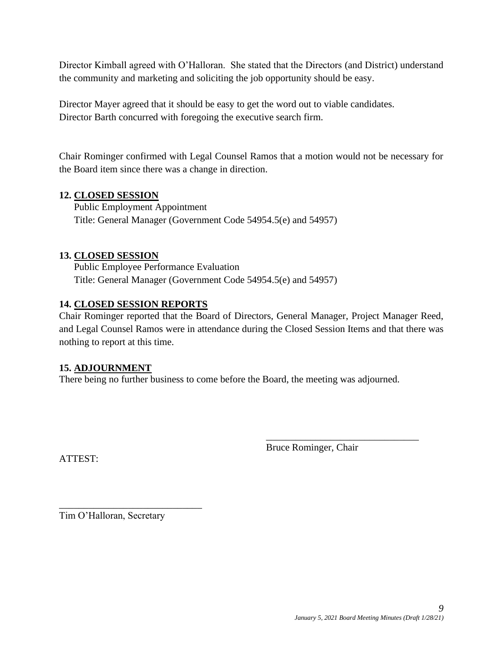Director Kimball agreed with O'Halloran. She stated that the Directors (and District) understand the community and marketing and soliciting the job opportunity should be easy.

Director Mayer agreed that it should be easy to get the word out to viable candidates. Director Barth concurred with foregoing the executive search firm.

Chair Rominger confirmed with Legal Counsel Ramos that a motion would not be necessary for the Board item since there was a change in direction.

## **12. CLOSED SESSION**

Public Employment Appointment Title: General Manager (Government Code 54954.5(e) and 54957)

## **13. CLOSED SESSION**

Public Employee Performance Evaluation Title: General Manager (Government Code 54954.5(e) and 54957)

#### **14. CLOSED SESSION REPORTS**

Chair Rominger reported that the Board of Directors, General Manager, Project Manager Reed, and Legal Counsel Ramos were in attendance during the Closed Session Items and that there was nothing to report at this time.

#### **15. ADJOURNMENT**

There being no further business to come before the Board, the meeting was adjourned.

Bruce Rominger, Chair

\_\_\_\_\_\_\_\_\_\_\_\_\_\_\_\_\_\_\_\_\_\_\_\_\_\_\_\_\_\_\_

ATTEST:

Tim O'Halloran, Secretary

\_\_\_\_\_\_\_\_\_\_\_\_\_\_\_\_\_\_\_\_\_\_\_\_\_\_\_\_\_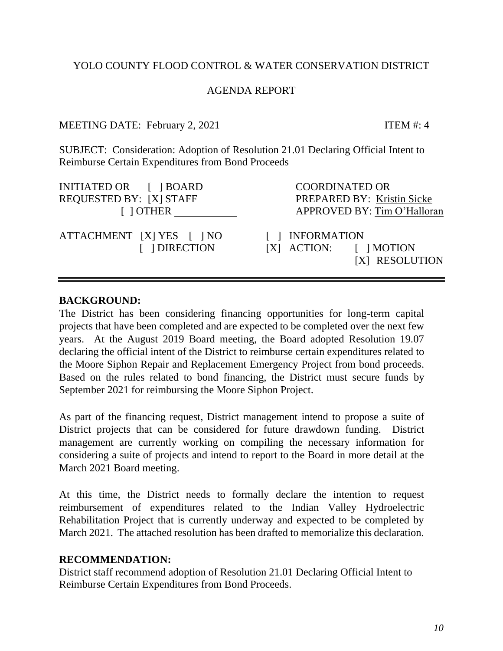# YOLO COUNTY FLOOD CONTROL & WATER CONSERVATION DISTRICT

# AGENDA REPORT

# MEETING DATE: February 2, 2021 ITEM #: 4

SUBJECT: Consideration: Adoption of Resolution 21.01 Declaring Official Intent to Reimburse Certain Expenditures from Bond Proceeds

INITIATED OR [ ] BOARD COORDINATED OR REQUESTED BY: [X] STAFF PREPARED BY: Kristin Sicke

ATTACHMENT [X] YES [ ] NO [ ] INFORMATION

<span id="page-9-0"></span>[ ] OTHER APPROVED BY: Tim O'Halloran

 [ ] DIRECTION [X] ACTION: [ ] MOTION [X] RESOLUTION

# **BACKGROUND:**

The District has been considering financing opportunities for long-term capital projects that have been completed and are expected to be completed over the next few years. At the August 2019 Board meeting, the Board adopted Resolution 19.07 declaring the official intent of the District to reimburse certain expenditures related to the Moore Siphon Repair and Replacement Emergency Project from bond proceeds. Based on the rules related to bond financing, the District must secure funds by September 2021 for reimbursing the Moore Siphon Project.

As part of the financing request, District management intend to propose a suite of District projects that can be considered for future drawdown funding. District management are currently working on compiling the necessary information for considering a suite of projects and intend to report to the Board in more detail at the March 2021 Board meeting.

At this time, the District needs to formally declare the intention to request reimbursement of expenditures related to the Indian Valley Hydroelectric Rehabilitation Project that is currently underway and expected to be completed by March 2021. The attached resolution has been drafted to memorialize this declaration.

# **RECOMMENDATION:**

District staff recommend adoption of Resolution 21.01 Declaring Official Intent to Reimburse Certain Expenditures from Bond Proceeds.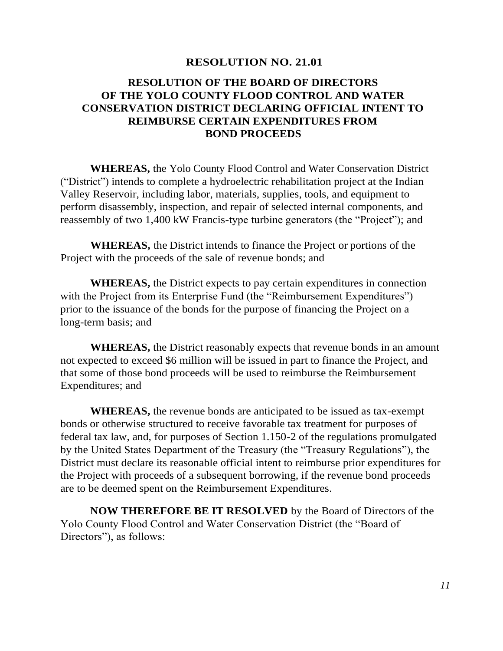#### **RESOLUTION NO. 21.01**

# **RESOLUTION OF THE BOARD OF DIRECTORS OF THE YOLO COUNTY FLOOD CONTROL AND WATER CONSERVATION DISTRICT DECLARING OFFICIAL INTENT TO REIMBURSE CERTAIN EXPENDITURES FROM BOND PROCEEDS**

**WHEREAS,** the Yolo County Flood Control and Water Conservation District ("District") intends to complete a hydroelectric rehabilitation project at the Indian Valley Reservoir, including labor, materials, supplies, tools, and equipment to perform disassembly, inspection, and repair of selected internal components, and reassembly of two 1,400 kW Francis-type turbine generators (the "Project"); and

**WHEREAS,** the District intends to finance the Project or portions of the Project with the proceeds of the sale of revenue bonds; and

**WHEREAS,** the District expects to pay certain expenditures in connection with the Project from its Enterprise Fund (the "Reimbursement Expenditures") prior to the issuance of the bonds for the purpose of financing the Project on a long-term basis; and

**WHEREAS,** the District reasonably expects that revenue bonds in an amount not expected to exceed \$6 million will be issued in part to finance the Project, and that some of those bond proceeds will be used to reimburse the Reimbursement Expenditures; and

**WHEREAS,** the revenue bonds are anticipated to be issued as tax-exempt bonds or otherwise structured to receive favorable tax treatment for purposes of federal tax law, and, for purposes of Section 1.150-2 of the regulations promulgated by the United States Department of the Treasury (the "Treasury Regulations"), the District must declare its reasonable official intent to reimburse prior expenditures for the Project with proceeds of a subsequent borrowing, if the revenue bond proceeds are to be deemed spent on the Reimbursement Expenditures.

**NOW THEREFORE BE IT RESOLVED** by the Board of Directors of the Yolo County Flood Control and Water Conservation District (the "Board of Directors"), as follows: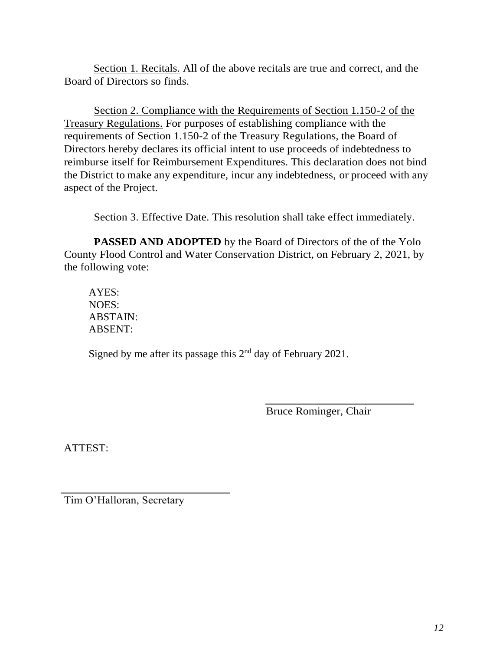Section 1. Recitals. All of the above recitals are true and correct, and the Board of Directors so finds.

Section 2. Compliance with the Requirements of Section 1.150-2 of the Treasury Regulations. For purposes of establishing compliance with the requirements of Section 1.150-2 of the Treasury Regulations, the Board of Directors hereby declares its official intent to use proceeds of indebtedness to reimburse itself for Reimbursement Expenditures. This declaration does not bind the District to make any expenditure, incur any indebtedness, or proceed with any aspect of the Project.

Section 3. Effective Date. This resolution shall take effect immediately.

**PASSED AND ADOPTED** by the Board of Directors of the of the Yolo County Flood Control and Water Conservation District, on February 2, 2021, by the following vote:

AYES: NOES: ABSTAIN: ABSENT:

Signed by me after its passage this  $2<sup>nd</sup>$  day of February 2021.

Bruce Rominger, Chair

ATTEST:

Tim O'Halloran, Secretary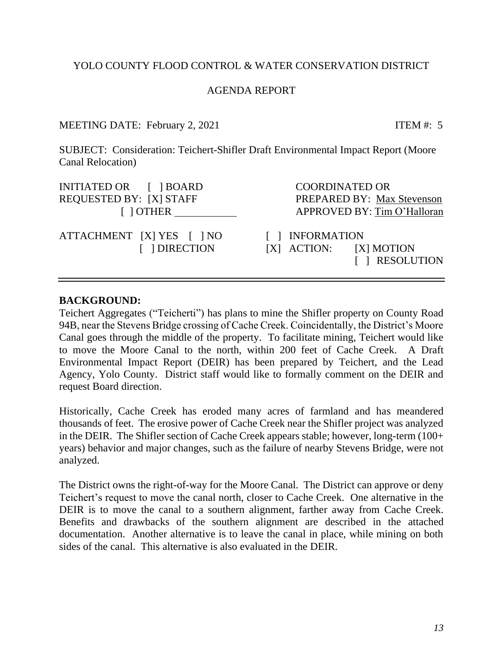## YOLO COUNTY FLOOD CONTROL & WATER CONSERVATION DISTRICT

### AGENDA REPORT

MEETING DATE: February 2, 2021 ITEM #: 5

SUBJECT: Consideration: Teichert-Shifler Draft Environmental Impact Report (Moore Canal Relocation)

| INITIATED OR [ ] BOARD         |  |  |  |  |
|--------------------------------|--|--|--|--|
| <b>REQUESTED BY: [X] STAFF</b> |  |  |  |  |
| $\lceil$   OTHER               |  |  |  |  |

ATTACHMENT [X] YES [ ] NO [ ] INFORMATION

**COORDINATED OR** PREPARED BY: Max Stevenson APPROVED BY: Tim O'Halloran

 [ ] DIRECTION [X] ACTION: [X] MOTION [ ] RESOLUTION

#### **BACKGROUND:**

Teichert Aggregates ("Teicherti") has plans to mine the Shifler property on County Road 94B, near the Stevens Bridge crossing of Cache Creek. Coincidentally, the District's Moore Canal goes through the middle of the property. To facilitate mining, Teichert would like to move the Moore Canal to the north, within 200 feet of Cache Creek. A Draft Environmental Impact Report (DEIR) has been prepared by Teichert, and the Lead Agency, Yolo County. District staff would like to formally comment on the DEIR and request Board direction.

Historically, Cache Creek has eroded many acres of farmland and has meandered thousands of feet. The erosive power of Cache Creek near the Shifler project was analyzed in the DEIR. The Shifler section of Cache Creek appears stable; however, long-term (100+ years) behavior and major changes, such as the failure of nearby Stevens Bridge, were not analyzed.

The District owns the right-of-way for the Moore Canal. The District can approve or deny Teichert's request to move the canal north, closer to Cache Creek. One alternative in the DEIR is to move the canal to a southern alignment, farther away from Cache Creek. Benefits and drawbacks of the southern alignment are described in the attached documentation. Another alternative is to leave the canal in place, while mining on both sides of the canal. This alternative is also evaluated in the DEIR.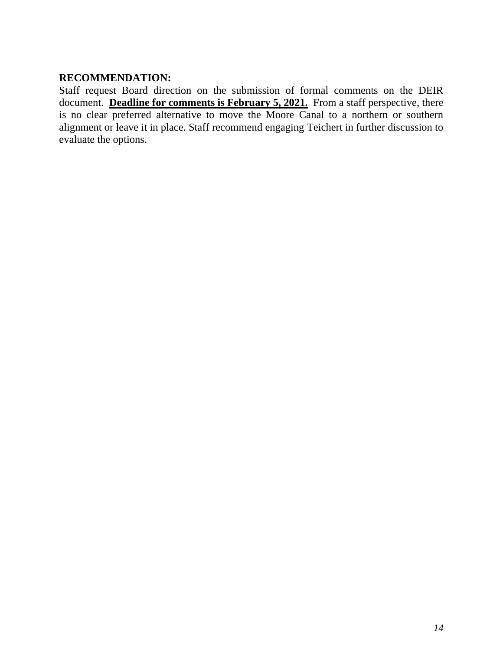## **RECOMMENDATION:**

Staff request Board direction on the submission of formal comments on the DEIR document. **Deadline for comments is February 5, 2021.** From a staff perspective, there is no clear preferred alternative to move the Moore Canal to a northern or southern alignment or leave it in place. Staff recommend engaging Teichert in further discussion to evaluate the options.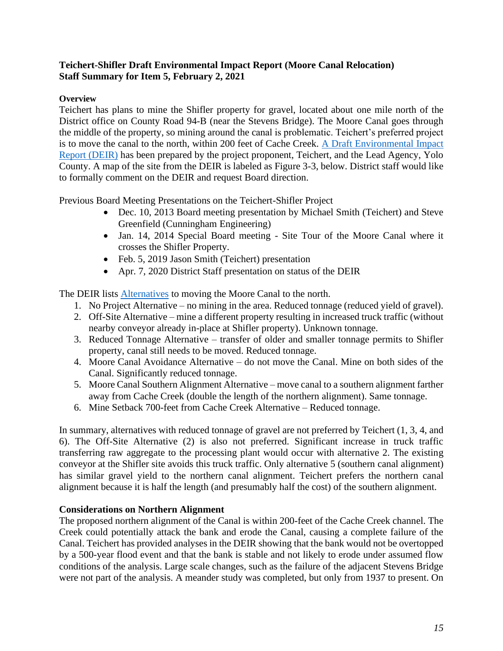## **Teichert-Shifler Draft Environmental Impact Report (Moore Canal Relocation) Staff Summary for Item 5, February 2, 2021**

#### **Overview**

Teichert has plans to mine the Shifler property for gravel, located about one mile north of the District office on County Road 94-B (near the Stevens Bridge). The Moore Canal goes through the middle of the property, so mining around the canal is problematic. Teichert's preferred project is to move the canal to the north, within 200 feet of Cache Creek. [A Draft Environmental Impact](https://www.yolocounty.org/government/general-government-departments/county-administrator/county-administrator-divisions/natural-resources/mining-projects-and-permits/teichert-shifler-mining-and-reclamation-project)  [Report \(DEIR\)](https://www.yolocounty.org/government/general-government-departments/county-administrator/county-administrator-divisions/natural-resources/mining-projects-and-permits/teichert-shifler-mining-and-reclamation-project) has been prepared by the project proponent, Teichert, and the Lead Agency, Yolo County. A map of the site from the DEIR is labeled as Figure 3-3, below. District staff would like to formally comment on the DEIR and request Board direction.

Previous Board Meeting Presentations on the Teichert-Shifler Project

- Dec. 10, 2013 Board meeting presentation by Michael Smith (Teichert) and Steve Greenfield (Cunningham Engineering)
- Jan. 14, 2014 Special Board meeting Site Tour of the Moore Canal where it crosses the Shifler Property.
- Feb. 5, 2019 Jason Smith (Teichert) presentation
- Apr. 7, 2020 District Staff presentation on status of the DEIR

The DEIR lists [Alternatives](https://www.yolocounty.org/home/showpublisheddocument?id=67612) to moving the Moore Canal to the north.

- 1. No Project Alternative no mining in the area. Reduced tonnage (reduced yield of gravel).
- 2. Off-Site Alternative mine a different property resulting in increased truck traffic (without nearby conveyor already in-place at Shifler property). Unknown tonnage.
- 3. Reduced Tonnage Alternative transfer of older and smaller tonnage permits to Shifler property, canal still needs to be moved. Reduced tonnage.
- 4. Moore Canal Avoidance Alternative do not move the Canal. Mine on both sides of the Canal. Significantly reduced tonnage.
- 5. Moore Canal Southern Alignment Alternative move canal to a southern alignment farther away from Cache Creek (double the length of the northern alignment). Same tonnage.
- 6. Mine Setback 700-feet from Cache Creek Alternative Reduced tonnage.

In summary, alternatives with reduced tonnage of gravel are not preferred by Teichert (1, 3, 4, and 6). The Off-Site Alternative (2) is also not preferred. Significant increase in truck traffic transferring raw aggregate to the processing plant would occur with alternative 2. The existing conveyor at the Shifler site avoids this truck traffic. Only alternative 5 (southern canal alignment) has similar gravel yield to the northern canal alignment. Teichert prefers the northern canal alignment because it is half the length (and presumably half the cost) of the southern alignment.

## **Considerations on Northern Alignment**

The proposed northern alignment of the Canal is within 200-feet of the Cache Creek channel. The Creek could potentially attack the bank and erode the Canal, causing a complete failure of the Canal. Teichert has provided analyses in the DEIR showing that the bank would not be overtopped by a 500-year flood event and that the bank is stable and not likely to erode under assumed flow conditions of the analysis. Large scale changes, such as the failure of the adjacent Stevens Bridge were not part of the analysis. A meander study was completed, but only from 1937 to present. On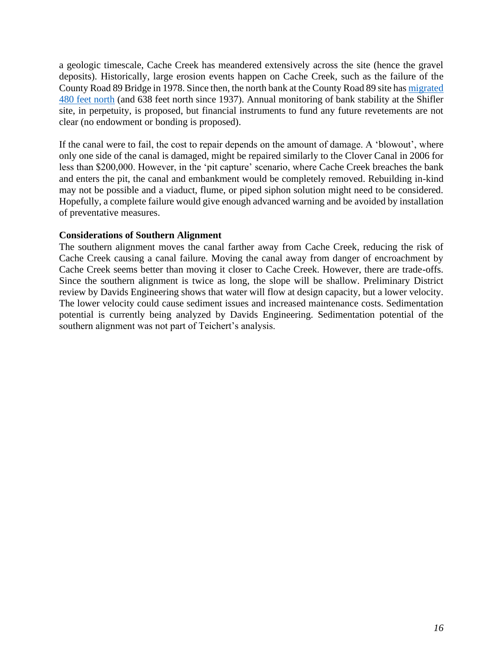a geologic timescale, Cache Creek has meandered extensively across the site (hence the gravel deposits). Historically, large erosion events happen on Cache Creek, such as the failure of the County Road 89 Bridge in 1978. Since then, the north bank at the County Road 89 site has [migrated](https://www.csus.edu/indiv/h/hornert/Leathers%202010%20Stream%20migration%20and%20sediment%20movement%20on%20Cache%20Creek.pdf)  [480 feet north](https://www.csus.edu/indiv/h/hornert/Leathers%202010%20Stream%20migration%20and%20sediment%20movement%20on%20Cache%20Creek.pdf) (and 638 feet north since 1937). Annual monitoring of bank stability at the Shifler site, in perpetuity, is proposed, but financial instruments to fund any future revetements are not clear (no endowment or bonding is proposed).

If the canal were to fail, the cost to repair depends on the amount of damage. A 'blowout', where only one side of the canal is damaged, might be repaired similarly to the Clover Canal in 2006 for less than \$200,000. However, in the 'pit capture' scenario, where Cache Creek breaches the bank and enters the pit, the canal and embankment would be completely removed. Rebuilding in-kind may not be possible and a viaduct, flume, or piped siphon solution might need to be considered. Hopefully, a complete failure would give enough advanced warning and be avoided by installation of preventative measures.

#### **Considerations of Southern Alignment**

The southern alignment moves the canal farther away from Cache Creek, reducing the risk of Cache Creek causing a canal failure. Moving the canal away from danger of encroachment by Cache Creek seems better than moving it closer to Cache Creek. However, there are trade-offs. Since the southern alignment is twice as long, the slope will be shallow. Preliminary District review by Davids Engineering shows that water will flow at design capacity, but a lower velocity. The lower velocity could cause sediment issues and increased maintenance costs. Sedimentation potential is currently being analyzed by Davids Engineering. Sedimentation potential of the southern alignment was not part of Teichert's analysis.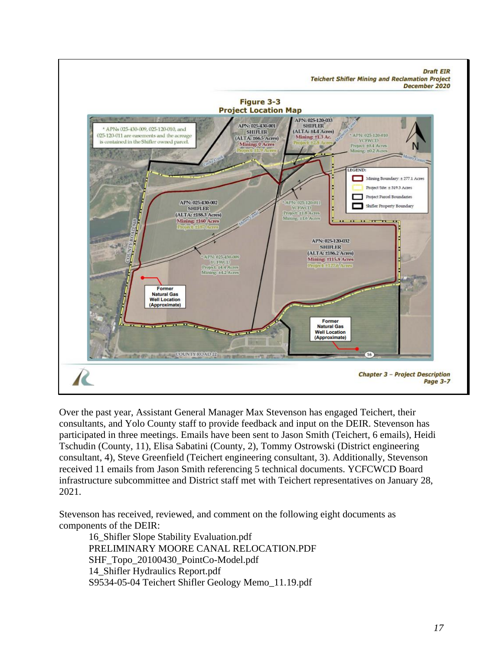

Over the past year, Assistant General Manager Max Stevenson has engaged Teichert, their consultants, and Yolo County staff to provide feedback and input on the DEIR. Stevenson has participated in three meetings. Emails have been sent to Jason Smith (Teichert, 6 emails), Heidi Tschudin (County, 11), Elisa Sabatini (County, 2), Tommy Ostrowski (District engineering consultant, 4), Steve Greenfield (Teichert engineering consultant, 3). Additionally, Stevenson received 11 emails from Jason Smith referencing 5 technical documents. YCFCWCD Board infrastructure subcommittee and District staff met with Teichert representatives on January 28, 2021.

Stevenson has received, reviewed, and comment on the following eight documents as components of the DEIR:

16\_Shifler Slope Stability Evaluation.pdf PRELIMINARY MOORE CANAL RELOCATION.PDF SHF\_Topo\_20100430\_PointCo-Model.pdf 14\_Shifler Hydraulics Report.pdf S9534-05-04 Teichert Shifler Geology Memo\_11.19.pdf